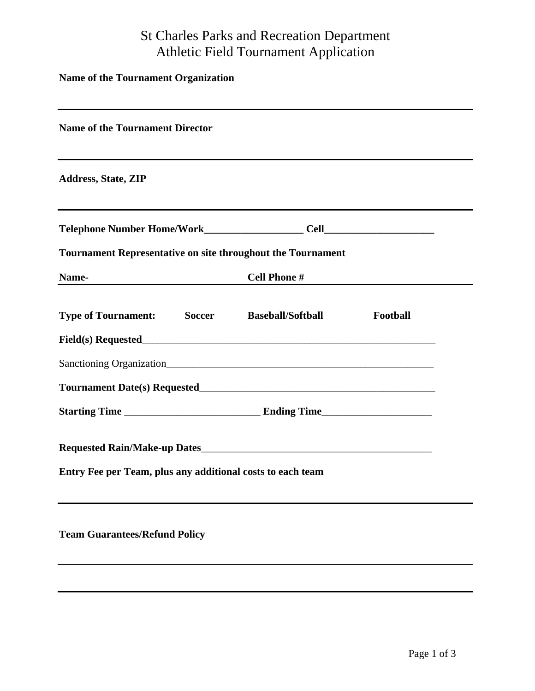## St Charles Parks and Recreation Department Athletic Field Tournament Application

| <b>Name of the Tournament Organization</b><br>the control of the control of the control of the control of the control of the control of the control of the control of the control of the control of the control of the control of the control of the control of the control |                     |          |  |
|-----------------------------------------------------------------------------------------------------------------------------------------------------------------------------------------------------------------------------------------------------------------------------|---------------------|----------|--|
| <b>Name of the Tournament Director</b><br>and the control of the control of the control of the control of the control of the control of the control of the                                                                                                                  |                     |          |  |
| <b>Address, State, ZIP</b>                                                                                                                                                                                                                                                  |                     |          |  |
|                                                                                                                                                                                                                                                                             |                     |          |  |
| <b>Tournament Representative on site throughout the Tournament</b>                                                                                                                                                                                                          |                     |          |  |
| Name-                                                                                                                                                                                                                                                                       | <b>Cell Phone #</b> |          |  |
| <b>Type of Tournament:</b> Soccer Baseball/Softball                                                                                                                                                                                                                         |                     | Football |  |
|                                                                                                                                                                                                                                                                             |                     |          |  |
|                                                                                                                                                                                                                                                                             |                     |          |  |
|                                                                                                                                                                                                                                                                             |                     |          |  |
|                                                                                                                                                                                                                                                                             |                     |          |  |
| Entry Fee per Team, plus any additional costs to each team                                                                                                                                                                                                                  |                     |          |  |
| <b>Team Guarantees/Refund Policy</b>                                                                                                                                                                                                                                        |                     |          |  |
|                                                                                                                                                                                                                                                                             |                     |          |  |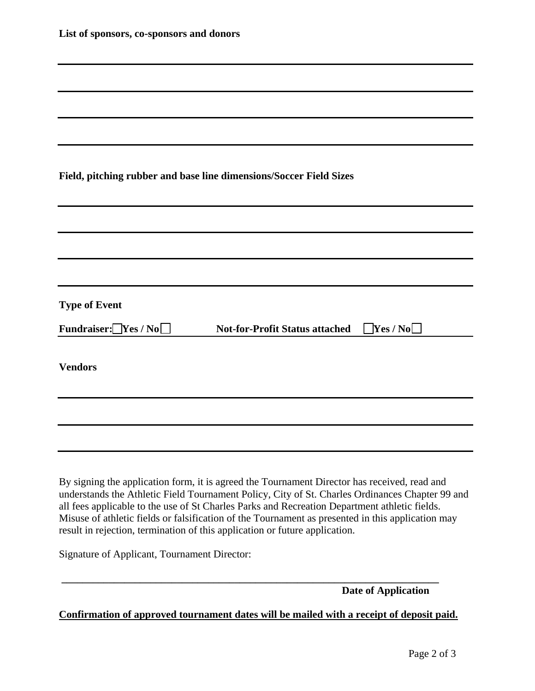| List of sponsors, co-sponsors and donors                                                                                                                                                                                                                                                                                                                                                                                                                                             |
|--------------------------------------------------------------------------------------------------------------------------------------------------------------------------------------------------------------------------------------------------------------------------------------------------------------------------------------------------------------------------------------------------------------------------------------------------------------------------------------|
|                                                                                                                                                                                                                                                                                                                                                                                                                                                                                      |
|                                                                                                                                                                                                                                                                                                                                                                                                                                                                                      |
|                                                                                                                                                                                                                                                                                                                                                                                                                                                                                      |
| Field, pitching rubber and base line dimensions/Soccer Field Sizes                                                                                                                                                                                                                                                                                                                                                                                                                   |
|                                                                                                                                                                                                                                                                                                                                                                                                                                                                                      |
|                                                                                                                                                                                                                                                                                                                                                                                                                                                                                      |
|                                                                                                                                                                                                                                                                                                                                                                                                                                                                                      |
| <b>Type of Event</b>                                                                                                                                                                                                                                                                                                                                                                                                                                                                 |
| Fundraiser: $\Box$ Yes / No $\Box$<br>Yes/No<br><b>Not-for-Profit Status attached</b>                                                                                                                                                                                                                                                                                                                                                                                                |
| <b>Vendors</b>                                                                                                                                                                                                                                                                                                                                                                                                                                                                       |
|                                                                                                                                                                                                                                                                                                                                                                                                                                                                                      |
|                                                                                                                                                                                                                                                                                                                                                                                                                                                                                      |
| By signing the application form, it is agreed the Tournament Director has received, read and<br>understands the Athletic Field Tournament Policy, City of St. Charles Ordinances Chapter 99 and<br>all fees applicable to the use of St Charles Parks and Recreation Department athletic fields.<br>Misuse of athletic fields or falsification of the Tournament as presented in this application may<br>result in rejection, termination of this application or future application. |

Signature of Applicant, Tournament Director:

 **Date of Application** 

**Confirmation of approved tournament dates will be mailed with a receipt of deposit paid.**

**\_\_\_\_\_\_\_\_\_\_\_\_\_\_\_\_\_\_\_\_\_\_\_\_\_\_\_\_\_\_\_\_\_\_\_\_\_\_\_\_\_\_\_\_\_\_\_\_\_\_\_\_\_\_\_\_\_\_\_\_\_\_\_\_\_\_\_\_\_\_\_\_**